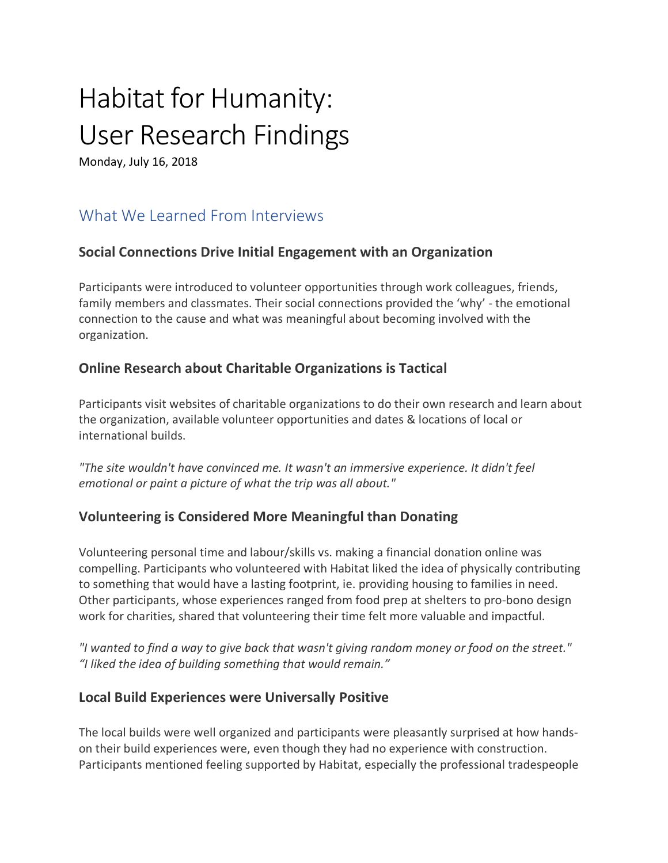# Habitat for Humanity: User Research Findings

Monday, July 16, 2018

# What We Learned From Interviews

#### **Social Connections Drive Initial Engagement with an Organization**

Participants were introduced to volunteer opportunities through work colleagues, friends, family members and classmates. Their social connections provided the 'why' - the emotional connection to the cause and what was meaningful about becoming involved with the organization.

## **Online Research about Charitable Organizations is Tactical**

Participants visit websites of charitable organizations to do their own research and learn about the organization, available volunteer opportunities and dates & locations of local or international builds.

*"The site wouldn't have convinced me. It wasn't an immersive experience. It didn't feel emotional or paint a picture of what the trip was all about."*

#### **Volunteering is Considered More Meaningful than Donating**

Volunteering personal time and labour/skills vs. making a financial donation online was compelling. Participants who volunteered with Habitat liked the idea of physically contributing to something that would have a lasting footprint, ie. providing housing to families in need. Other participants, whose experiences ranged from food prep at shelters to pro-bono design work for charities, shared that volunteering their time felt more valuable and impactful.

*"I wanted to find a way to give back that wasn't giving random money or food on the street." "I liked the idea of building something that would remain."*

#### **Local Build Experiences were Universally Positive**

The local builds were well organized and participants were pleasantly surprised at how handson their build experiences were, even though they had no experience with construction. Participants mentioned feeling supported by Habitat, especially the professional tradespeople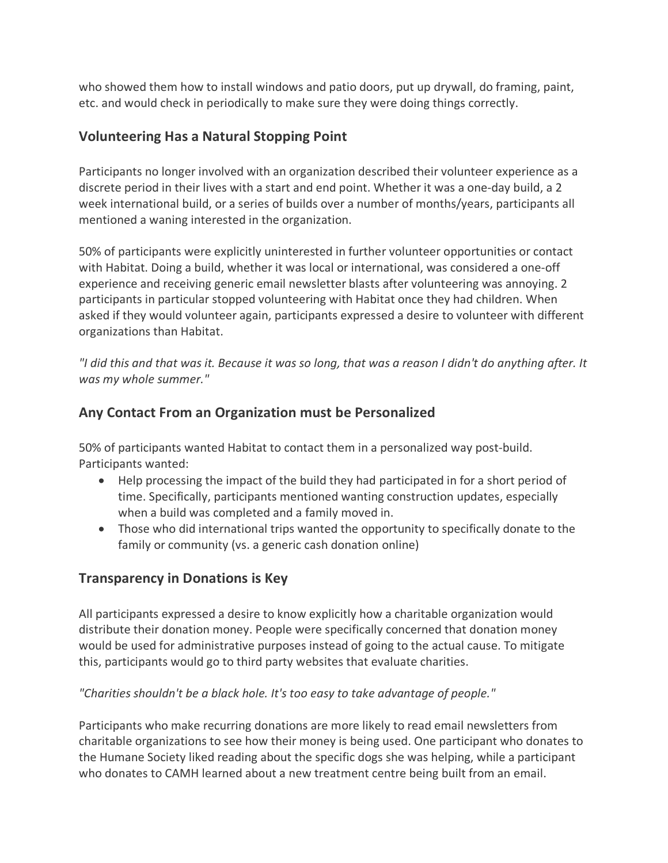who showed them how to install windows and patio doors, put up drywall, do framing, paint, etc. and would check in periodically to make sure they were doing things correctly.

#### **Volunteering Has a Natural Stopping Point**

Participants no longer involved with an organization described their volunteer experience as a discrete period in their lives with a start and end point. Whether it was a one-day build, a 2 week international build, or a series of builds over a number of months/years, participants all mentioned a waning interested in the organization.

50% of participants were explicitly uninterested in further volunteer opportunities or contact with Habitat. Doing a build, whether it was local or international, was considered a one-off experience and receiving generic email newsletter blasts after volunteering was annoying. 2 participants in particular stopped volunteering with Habitat once they had children. When asked if they would volunteer again, participants expressed a desire to volunteer with different organizations than Habitat.

*"I did this and that was it. Because it was so long, that was a reason I didn't do anything after. It was my whole summer."*

#### **Any Contact From an Organization must be Personalized**

50% of participants wanted Habitat to contact them in a personalized way post-build. Participants wanted:

- Help processing the impact of the build they had participated in for a short period of time. Specifically, participants mentioned wanting construction updates, especially when a build was completed and a family moved in.
- Those who did international trips wanted the opportunity to specifically donate to the family or community (vs. a generic cash donation online)

#### **Transparency in Donations is Key**

All participants expressed a desire to know explicitly how a charitable organization would distribute their donation money. People were specifically concerned that donation money would be used for administrative purposes instead of going to the actual cause. To mitigate this, participants would go to third party websites that evaluate charities.

*"Charities shouldn't be a black hole. It's too easy to take advantage of people."*

Participants who make recurring donations are more likely to read email newsletters from charitable organizations to see how their money is being used. One participant who donates to the Humane Society liked reading about the specific dogs she was helping, while a participant who donates to CAMH learned about a new treatment centre being built from an email.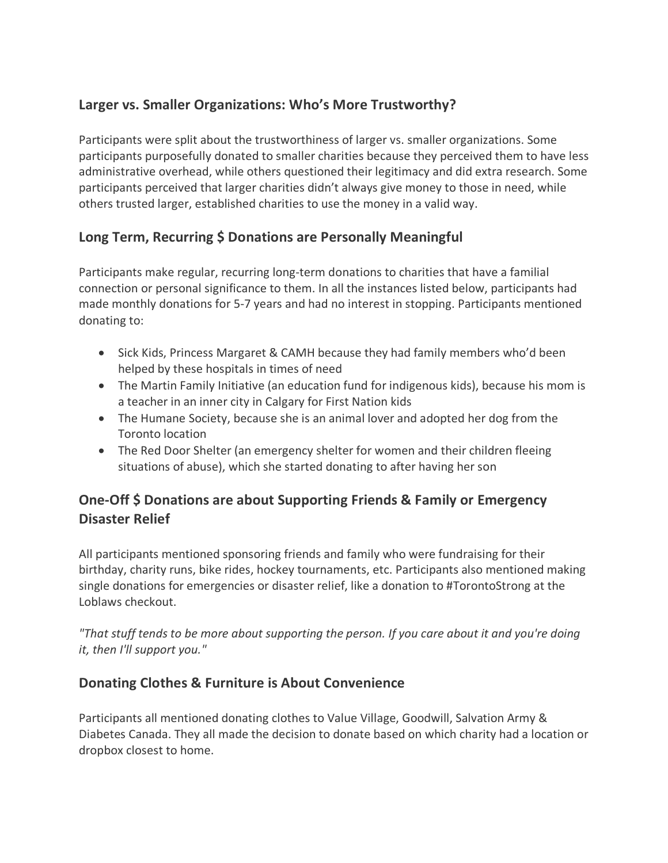## **Larger vs. Smaller Organizations: Who's More Trustworthy?**

Participants were split about the trustworthiness of larger vs. smaller organizations. Some participants purposefully donated to smaller charities because they perceived them to have less administrative overhead, while others questioned their legitimacy and did extra research. Some participants perceived that larger charities didn't always give money to those in need, while others trusted larger, established charities to use the money in a valid way.

## **Long Term, Recurring \$ Donations are Personally Meaningful**

Participants make regular, recurring long-term donations to charities that have a familial connection or personal significance to them. In all the instances listed below, participants had made monthly donations for 5-7 years and had no interest in stopping. Participants mentioned donating to:

- Sick Kids, Princess Margaret & CAMH because they had family members who'd been helped by these hospitals in times of need
- The Martin Family Initiative (an education fund for indigenous kids), because his mom is a teacher in an inner city in Calgary for First Nation kids
- The Humane Society, because she is an animal lover and adopted her dog from the Toronto location
- The Red Door Shelter (an emergency shelter for women and their children fleeing situations of abuse), which she started donating to after having her son

# **One-Off \$ Donations are about Supporting Friends & Family or Emergency Disaster Relief**

All participants mentioned sponsoring friends and family who were fundraising for their birthday, charity runs, bike rides, hockey tournaments, etc. Participants also mentioned making single donations for emergencies or disaster relief, like a donation to #TorontoStrong at the Loblaws checkout.

*"That stuff tends to be more about supporting the person. If you care about it and you're doing it, then I'll support you."*

#### **Donating Clothes & Furniture is About Convenience**

Participants all mentioned donating clothes to Value Village, Goodwill, Salvation Army & Diabetes Canada. They all made the decision to donate based on which charity had a location or dropbox closest to home.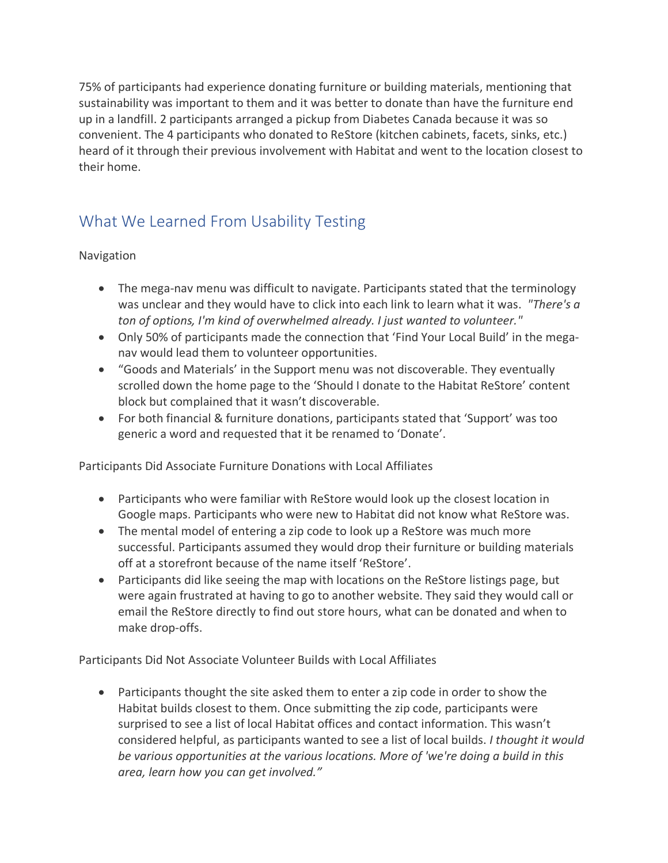75% of participants had experience donating furniture or building materials, mentioning that sustainability was important to them and it was better to donate than have the furniture end up in a landfill. 2 participants arranged a pickup from Diabetes Canada because it was so convenient. The 4 participants who donated to ReStore (kitchen cabinets, facets, sinks, etc.) heard of it through their previous involvement with Habitat and went to the location closest to their home.

# What We Learned From Usability Testing

Navigation

- The mega-nav menu was difficult to navigate. Participants stated that the terminology was unclear and they would have to click into each link to learn what it was. *"There's a ton of options, I'm kind of overwhelmed already. I just wanted to volunteer."*
- Only 50% of participants made the connection that 'Find Your Local Build' in the meganav would lead them to volunteer opportunities.
- "Goods and Materials' in the Support menu was not discoverable. They eventually scrolled down the home page to the 'Should I donate to the Habitat ReStore' content block but complained that it wasn't discoverable.
- For both financial & furniture donations, participants stated that 'Support' was too generic a word and requested that it be renamed to 'Donate'.

Participants Did Associate Furniture Donations with Local Affiliates

- Participants who were familiar with ReStore would look up the closest location in Google maps. Participants who were new to Habitat did not know what ReStore was.
- The mental model of entering a zip code to look up a ReStore was much more successful. Participants assumed they would drop their furniture or building materials off at a storefront because of the name itself 'ReStore'.
- Participants did like seeing the map with locations on the ReStore listings page, but were again frustrated at having to go to another website. They said they would call or email the ReStore directly to find out store hours, what can be donated and when to make drop-offs.

Participants Did Not Associate Volunteer Builds with Local Affiliates

• Participants thought the site asked them to enter a zip code in order to show the Habitat builds closest to them. Once submitting the zip code, participants were surprised to see a list of local Habitat offices and contact information. This wasn't considered helpful, as participants wanted to see a list of local builds. *I thought it would be various opportunities at the various locations. More of 'we're doing a build in this area, learn how you can get involved."*